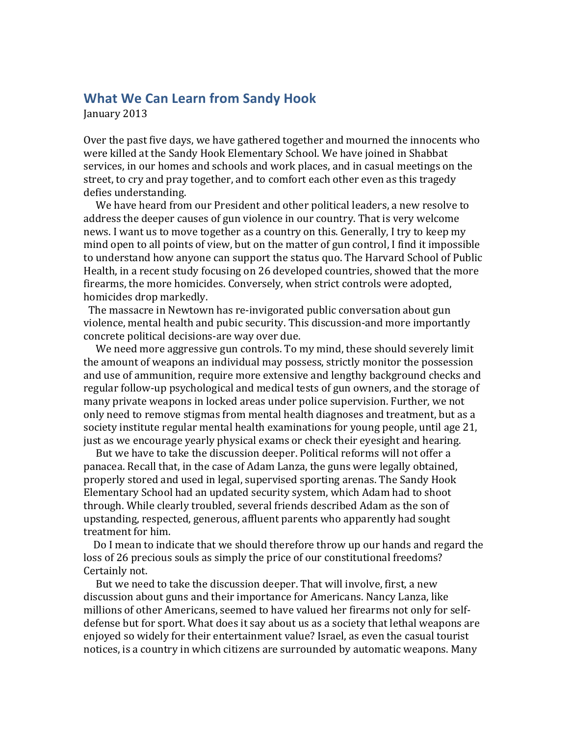## **What We Can Learn from Sandy Hook**

January 2013

Over the past five days, we have gathered together and mourned the innocents who were killed at the Sandy Hook Elementary School. We have joined in Shabbat services, in our homes and schools and work places, and in casual meetings on the street, to cry and pray together, and to comfort each other even as this tragedy defies understanding.

We have heard from our President and other political leaders, a new resolve to address the deeper causes of gun violence in our country. That is very welcome news. I want us to move together as a country on this. Generally, I try to keep my mind open to all points of view, but on the matter of gun control, I find it impossible to understand how anyone can support the status quo. The Harvard School of Public Health, in a recent study focusing on 26 developed countries, showed that the more firearms, the more homicides. Conversely, when strict controls were adopted, homicides drop markedly.

The massacre in Newtown has re-invigorated public conversation about gun violence, mental health and pubic security. This discussion-and more importantly concrete political decisions-are way over due.

We need more aggressive gun controls. To my mind, these should severely limit the amount of weapons an individual may possess, strictly monitor the possession and use of ammunition, require more extensive and lengthy background checks and regular follow-up psychological and medical tests of gun owners, and the storage of many private weapons in locked areas under police supervision. Further, we not only need to remove stigmas from mental health diagnoses and treatment, but as a society institute regular mental health examinations for young people, until age 21, just as we encourage yearly physical exams or check their eyesight and hearing.

But we have to take the discussion deeper. Political reforms will not offer a panacea. Recall that, in the case of Adam Lanza, the guns were legally obtained, properly stored and used in legal, supervised sporting arenas. The Sandy Hook Elementary School had an updated security system, which Adam had to shoot through. While clearly troubled, several friends described Adam as the son of upstanding, respected, generous, affluent parents who apparently had sought treatment for him.

Do I mean to indicate that we should therefore throw up our hands and regard the loss of 26 precious souls as simply the price of our constitutional freedoms? Certainly not.

But we need to take the discussion deeper. That will involve, first, a new discussion about guns and their importance for Americans. Nancy Lanza, like millions of other Americans, seemed to have valued her firearms not only for selfdefense but for sport. What does it say about us as a society that lethal weapons are enjoyed so widely for their entertainment value? Israel, as even the casual tourist notices, is a country in which citizens are surrounded by automatic weapons. Many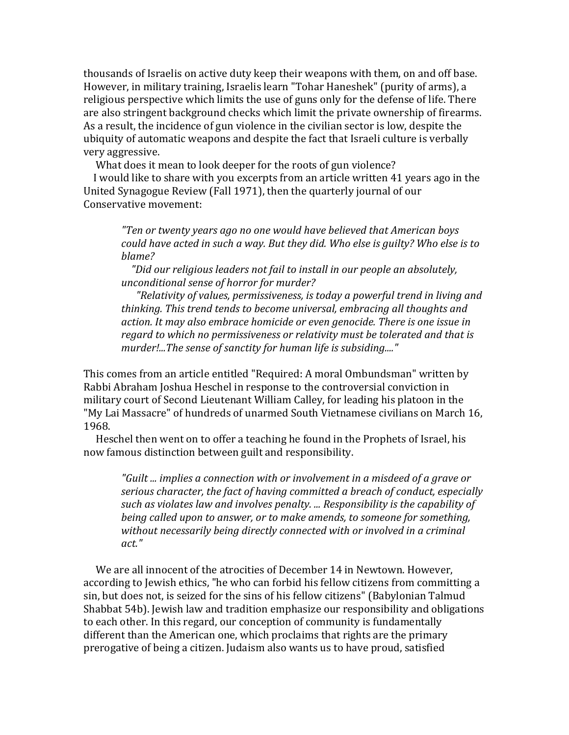thousands of Israelis on active duty keep their weapons with them, on and off base. However, in military training, Israelis learn "Tohar Haneshek" (purity of arms), a religious perspective which limits the use of guns only for the defense of life. There are also stringent background checks which limit the private ownership of firearms. As a result, the incidence of gun violence in the civilian sector is low, despite the ubiquity of automatic weapons and despite the fact that Israeli culture is verbally very aggressive.

What does it mean to look deeper for the roots of gun violence?

I would like to share with you excerpts from an article written 41 years ago in the United Synagogue Review (Fall 1971), then the quarterly journal of our Conservative movement:

*"Ten or twenty years ago no one would have believed that American boys could have acted in such a way. But they did. Who else is guilty? Who else is to blame?*

 *"Did our religious leaders not fail to install in our people an absolutely, unconditional sense of horror for murder?*

*r* Relativity of values, permissiveness, is today a powerful trend in living and thinking. This trend tends to become universal, embracing all thoughts and action. It may also embrace homicide or even genocide. There is one issue in *regard* to which no permissiveness or relativity must be tolerated and that is murder!...The sense of sanctity for human life is subsiding...."

This comes from an article entitled "Required: A moral Ombundsman" written by Rabbi Abraham Joshua Heschel in response to the controversial conviction in military court of Second Lieutenant William Calley, for leading his platoon in the "My Lai Massacre" of hundreds of unarmed South Vietnamese civilians on March 16, 1968.

Heschel then went on to offer a teaching he found in the Prophets of Israel, his now famous distinction between guilt and responsibility.

*"Guilt* ... *implies a connection with or involvement in a misdeed of a grave or* serious character, the fact of having committed a breach of conduct, especially *such as violates law and involves penalty. ... Responsibility is the capability of being called upon to answer, or to make amends, to someone for something,* without necessarily being directly connected with or involved in a criminal *act."*

We are all innocent of the atrocities of December 14 in Newtown. However, according to Jewish ethics, "he who can forbid his fellow citizens from committing a sin, but does not, is seized for the sins of his fellow citizens" (Babylonian Talmud Shabbat 54b). Jewish law and tradition emphasize our responsibility and obligations to each other. In this regard, our conception of community is fundamentally different than the American one, which proclaims that rights are the primary prerogative of being a citizen. Judaism also wants us to have proud, satisfied